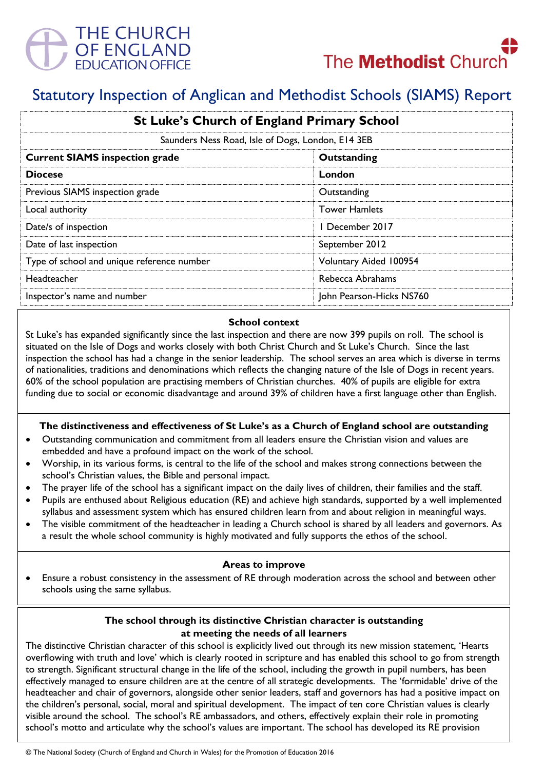



# Statutory Inspection of Anglican and Methodist Schools (SIAMS) Report

| <b>St Luke's Church of England Primary School</b> |                          |
|---------------------------------------------------|--------------------------|
| Saunders Ness Road, Isle of Dogs, London, E14 3EB |                          |
| <b>Current SIAMS inspection grade</b>             | Outstanding              |
| <b>Diocese</b>                                    | London                   |
| Previous SIAMS inspection grade                   | Outstanding              |
| Local authority                                   | <b>Tower Hamlets</b>     |
| Date/s of inspection                              | 1 December 2017          |
| Date of last inspection                           | September 2012           |
| Type of school and unique reference number        | Voluntary Aided 100954   |
| Headteacher                                       | Rebecca Abrahams         |
| Inspector's name and number                       | John Pearson-Hicks NS760 |

### **School context**

St Luke's has expanded significantly since the last inspection and there are now 399 pupils on roll. The school is situated on the Isle of Dogs and works closely with both Christ Church and St Luke's Church. Since the last inspection the school has had a change in the senior leadership. The school serves an area which is diverse in terms of nationalities, traditions and denominations which reflects the changing nature of the Isle of Dogs in recent years. 60% of the school population are practising members of Christian churches. 40% of pupils are eligible for extra funding due to social or economic disadvantage and around 39% of children have a first language other than English.

## **The distinctiveness and effectiveness of St Luke's as a Church of England school are outstanding**

- Outstanding communication and commitment from all leaders ensure the Christian vision and values are embedded and have a profound impact on the work of the school.
- Worship, in its various forms, is central to the life of the school and makes strong connections between the school's Christian values, the Bible and personal impact.
- The prayer life of the school has a significant impact on the daily lives of children, their families and the staff.
- Pupils are enthused about Religious education (RE) and achieve high standards, supported by a well implemented syllabus and assessment system which has ensured children learn from and about religion in meaningful ways.
- The visible commitment of the headteacher in leading a Church school is shared by all leaders and governors. As a result the whole school community is highly motivated and fully supports the ethos of the school.

#### **Areas to improve**

 Ensure a robust consistency in the assessment of RE through moderation across the school and between other schools using the same syllabus.

## **The school through its distinctive Christian character is outstanding at meeting the needs of all learners**

The distinctive Christian character of this school is explicitly lived out through its new mission statement, 'Hearts overflowing with truth and love' which is clearly rooted in scripture and has enabled this school to go from strength to strength. Significant structural change in the life of the school, including the growth in pupil numbers, has been effectively managed to ensure children are at the centre of all strategic developments. The 'formidable' drive of the headteacher and chair of governors, alongside other senior leaders, staff and governors has had a positive impact on the children's personal, social, moral and spiritual development. The impact of ten core Christian values is clearly visible around the school. The school's RE ambassadors, and others, effectively explain their role in promoting school's motto and articulate why the school's values are important. The school has developed its RE provision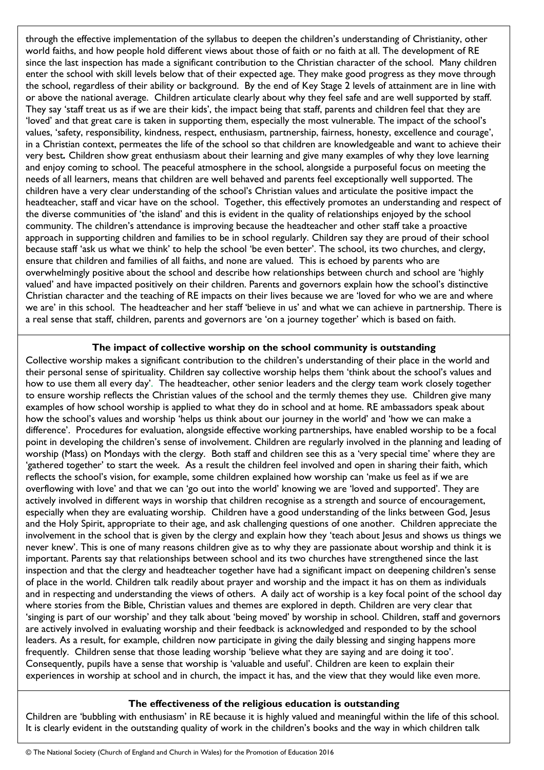through the effective implementation of the syllabus to deepen the children's understanding of Christianity, other world faiths, and how people hold different views about those of faith or no faith at all. The development of RE since the last inspection has made a significant contribution to the Christian character of the school. Many children enter the school with skill levels below that of their expected age. They make good progress as they move through the school, regardless of their ability or background. By the end of Key Stage 2 levels of attainment are in line with or above the national average. Children articulate clearly about why they feel safe and are well supported by staff. They say 'staff treat us as if we are their kids', the impact being that staff, parents and children feel that they are 'loved' and that great care is taken in supporting them, especially the most vulnerable. The impact of the school's values, 'safety, responsibility, kindness, respect, enthusiasm, partnership, fairness, honesty, excellence and courage', in a Christian context, permeates the life of the school so that children are knowledgeable and want to achieve their very best*.* Children show great enthusiasm about their learning and give many examples of why they love learning and enjoy coming to school. The peaceful atmosphere in the school, alongside a purposeful focus on meeting the needs of all learners, means that children are well behaved and parents feel exceptionally well supported. The children have a very clear understanding of the school's Christian values and articulate the positive impact the headteacher, staff and vicar have on the school. Together, this effectively promotes an understanding and respect of the diverse communities of 'the island' and this is evident in the quality of relationships enjoyed by the school community. The children's attendance is improving because the headteacher and other staff take a proactive approach in supporting children and families to be in school regularly. Children say they are proud of their school because staff 'ask us what we think' to help the school 'be even better'. The school, its two churches, and clergy, ensure that children and families of all faiths, and none are valued. This is echoed by parents who are overwhelmingly positive about the school and describe how relationships between church and school are 'highly valued' and have impacted positively on their children. Parents and governors explain how the school's distinctive Christian character and the teaching of RE impacts on their lives because we are 'loved for who we are and where we are' in this school. The headteacher and her staff 'believe in us' and what we can achieve in partnership. There is a real sense that staff, children, parents and governors are 'on a journey together' which is based on faith.

## **The impact of collective worship on the school community is outstanding**

Collective worship makes a significant contribution to the children's understanding of their place in the world and their personal sense of spirituality. Children say collective worship helps them 'think about the school's values and how to use them all every day'. The headteacher, other senior leaders and the clergy team work closely together to ensure worship reflects the Christian values of the school and the termly themes they use. Children give many examples of how school worship is applied to what they do in school and at home. RE ambassadors speak about how the school's values and worship 'helps us think about our journey in the world' and 'how we can make a difference'. Procedures for evaluation, alongside effective working partnerships, have enabled worship to be a focal point in developing the children's sense of involvement. Children are regularly involved in the planning and leading of worship (Mass) on Mondays with the clergy. Both staff and children see this as a 'very special time' where they are 'gathered together' to start the week. As a result the children feel involved and open in sharing their faith, which reflects the school's vision, for example, some children explained how worship can 'make us feel as if we are overflowing with love' and that we can 'go out into the world' knowing we are 'loved and supported'. They are actively involved in different ways in worship that children recognise as a strength and source of encouragement, especially when they are evaluating worship. Children have a good understanding of the links between God, Jesus and the Holy Spirit, appropriate to their age, and ask challenging questions of one another. Children appreciate the involvement in the school that is given by the clergy and explain how they 'teach about Jesus and shows us things we never knew'. This is one of many reasons children give as to why they are passionate about worship and think it is important. Parents say that relationships between school and its two churches have strengthened since the last inspection and that the clergy and headteacher together have had a significant impact on deepening children's sense of place in the world. Children talk readily about prayer and worship and the impact it has on them as individuals and in respecting and understanding the views of others. A daily act of worship is a key focal point of the school day where stories from the Bible, Christian values and themes are explored in depth. Children are very clear that 'singing is part of our worship' and they talk about 'being moved' by worship in school. Children, staff and governors are actively involved in evaluating worship and their feedback is acknowledged and responded to by the school leaders. As a result, for example, children now participate in giving the daily blessing and singing happens more frequently. Children sense that those leading worship 'believe what they are saying and are doing it too'. Consequently, pupils have a sense that worship is 'valuable and useful'. Children are keen to explain their experiences in worship at school and in church, the impact it has, and the view that they would like even more.

## **The effectiveness of the religious education is outstanding**

Children are 'bubbling with enthusiasm' in RE because it is highly valued and meaningful within the life of this school. It is clearly evident in the outstanding quality of work in the children's books and the way in which children talk